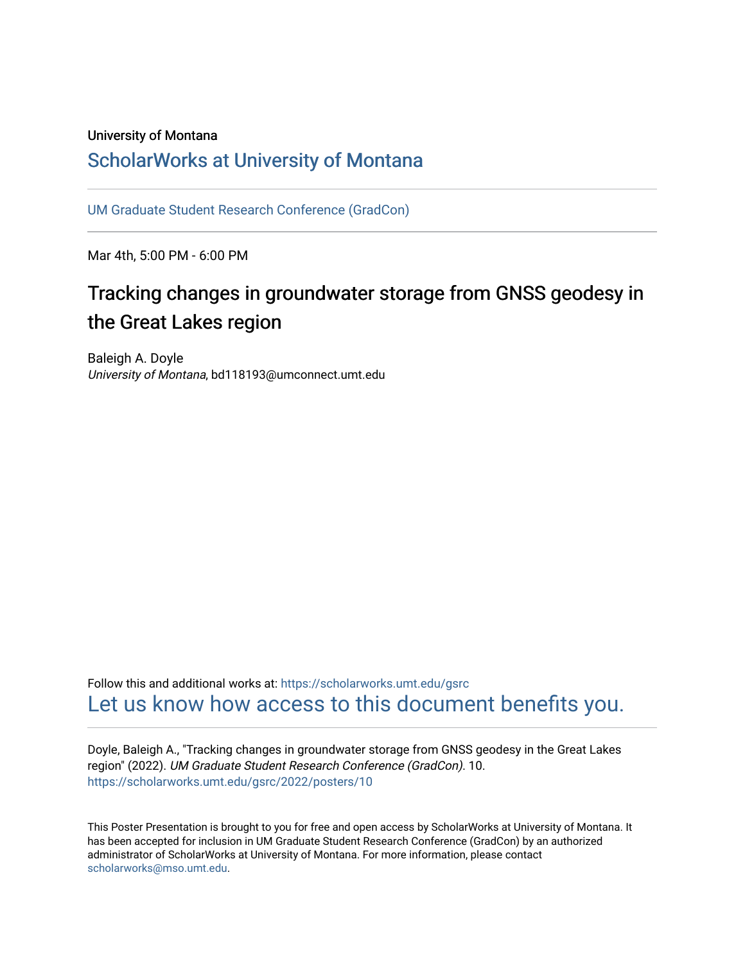#### University of Montana

#### [ScholarWorks at University of Montana](https://scholarworks.umt.edu/)

[UM Graduate Student Research Conference \(GradCon\)](https://scholarworks.umt.edu/gsrc) 

Mar 4th, 5:00 PM - 6:00 PM

#### Tracking changes in groundwater storage from GNSS geodesy in the Great Lakes region

Baleigh A. Doyle University of Montana, bd118193@umconnect.umt.edu

Follow this and additional works at: [https://scholarworks.umt.edu/gsrc](https://scholarworks.umt.edu/gsrc?utm_source=scholarworks.umt.edu%2Fgsrc%2F2022%2Fposters%2F10&utm_medium=PDF&utm_campaign=PDFCoverPages)  [Let us know how access to this document benefits you.](https://goo.gl/forms/s2rGfXOLzz71qgsB2) 

Doyle, Baleigh A., "Tracking changes in groundwater storage from GNSS geodesy in the Great Lakes region" (2022). UM Graduate Student Research Conference (GradCon). 10. [https://scholarworks.umt.edu/gsrc/2022/posters/10](https://scholarworks.umt.edu/gsrc/2022/posters/10?utm_source=scholarworks.umt.edu%2Fgsrc%2F2022%2Fposters%2F10&utm_medium=PDF&utm_campaign=PDFCoverPages)

This Poster Presentation is brought to you for free and open access by ScholarWorks at University of Montana. It has been accepted for inclusion in UM Graduate Student Research Conference (GradCon) by an authorized administrator of ScholarWorks at University of Montana. For more information, please contact [scholarworks@mso.umt.edu.](mailto:scholarworks@mso.umt.edu)